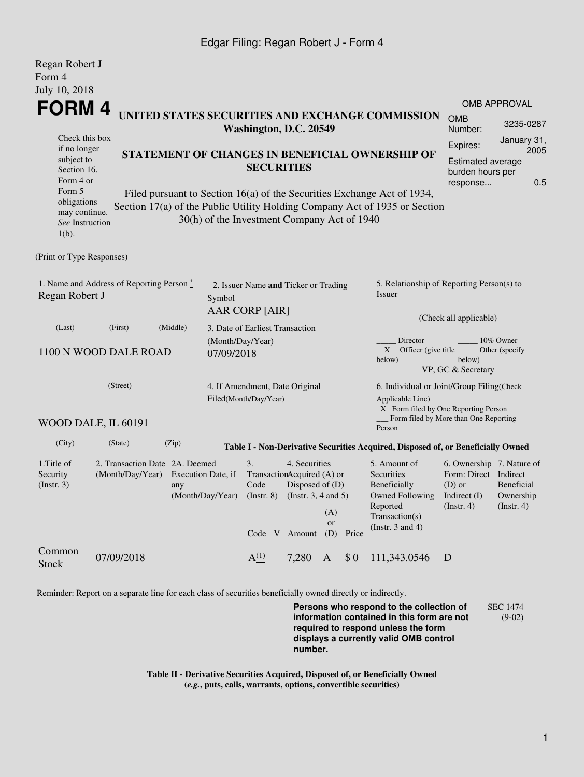## Edgar Filing: Regan Robert J - Form 4

| Regan Robert J<br>Form 4                                                             |                                                    |                                                                      |                                        |                                                                          |                                                                                 |                  |       |                                                                                                                                                       |                                                                                                 |                                             |  |
|--------------------------------------------------------------------------------------|----------------------------------------------------|----------------------------------------------------------------------|----------------------------------------|--------------------------------------------------------------------------|---------------------------------------------------------------------------------|------------------|-------|-------------------------------------------------------------------------------------------------------------------------------------------------------|-------------------------------------------------------------------------------------------------|---------------------------------------------|--|
| July 10, 2018                                                                        |                                                    |                                                                      |                                        |                                                                          |                                                                                 |                  |       |                                                                                                                                                       |                                                                                                 |                                             |  |
|                                                                                      |                                                    |                                                                      |                                        |                                                                          |                                                                                 |                  |       |                                                                                                                                                       |                                                                                                 | <b>OMB APPROVAL</b>                         |  |
| FORM 4<br>UNITED STATES SECURITIES AND EXCHANGE COMMISSION<br>Washington, D.C. 20549 |                                                    |                                                                      |                                        |                                                                          |                                                                                 |                  |       |                                                                                                                                                       | <b>OMB</b><br>Number:                                                                           | 3235-0287                                   |  |
| Check this box<br>if no longer<br>subject to<br>Section 16.                          |                                                    | STATEMENT OF CHANGES IN BENEFICIAL OWNERSHIP OF<br><b>SECURITIES</b> |                                        | January 31,<br>Expires:<br>2005<br>Estimated average<br>burden hours per |                                                                                 |                  |       |                                                                                                                                                       |                                                                                                 |                                             |  |
|                                                                                      | Form 4 or                                          |                                                                      |                                        |                                                                          |                                                                                 |                  |       |                                                                                                                                                       | response                                                                                        | 0.5                                         |  |
| Form 5<br>obligations<br>may continue.<br>See Instruction<br>$1(b)$ .                |                                                    |                                                                      |                                        | 30(h) of the Investment Company Act of 1940                              |                                                                                 |                  |       | Filed pursuant to Section 16(a) of the Securities Exchange Act of 1934,<br>Section 17(a) of the Public Utility Holding Company Act of 1935 or Section |                                                                                                 |                                             |  |
| (Print or Type Responses)                                                            |                                                    |                                                                      |                                        |                                                                          |                                                                                 |                  |       |                                                                                                                                                       |                                                                                                 |                                             |  |
| 1. Name and Address of Reporting Person*<br>Regan Robert J<br>Symbol                 |                                                    |                                                                      |                                        | 2. Issuer Name and Ticker or Trading<br><b>AAR CORP [AIR]</b>            |                                                                                 |                  |       | 5. Relationship of Reporting Person(s) to<br>Issuer                                                                                                   |                                                                                                 |                                             |  |
|                                                                                      |                                                    |                                                                      |                                        |                                                                          |                                                                                 |                  |       | (Check all applicable)                                                                                                                                |                                                                                                 |                                             |  |
| (First)<br>(Middle)<br>(Last)<br>1100 N WOOD DALE ROAD                               |                                                    |                                                                      |                                        | 3. Date of Earliest Transaction<br>(Month/Day/Year)<br>07/09/2018        |                                                                                 |                  |       | Director<br>10% Owner<br>$X$ Officer (give title<br>Other (specify<br>below)<br>below)<br>VP, GC & Secretary                                          |                                                                                                 |                                             |  |
| (Street)                                                                             |                                                    |                                                                      |                                        | 4. If Amendment, Date Original<br>Filed(Month/Day/Year)                  |                                                                                 |                  |       | 6. Individual or Joint/Group Filing(Check<br>Applicable Line)<br>_X_ Form filed by One Reporting Person<br>Form filed by More than One Reporting      |                                                                                                 |                                             |  |
|                                                                                      | WOOD DALE, IL 60191                                |                                                                      |                                        |                                                                          |                                                                                 |                  |       | Person                                                                                                                                                |                                                                                                 |                                             |  |
| (City)                                                                               | (State)                                            | (Zip)                                                                |                                        |                                                                          |                                                                                 |                  |       | Table I - Non-Derivative Securities Acquired, Disposed of, or Beneficially Owned                                                                      |                                                                                                 |                                             |  |
| 1. Title of<br>Security<br>$($ Instr. 3 $)$                                          | 2. Transaction Date 2A. Deemed<br>(Month/Day/Year) | any                                                                  | Execution Date, if<br>(Month/Day/Year) | 3.<br>TransactionAcquired (A) or<br>Code<br>$($ Instr. $8)$              | 4. Securities<br>Disposed of $(D)$<br>(Instr. $3, 4$ and $5$ )<br>Code V Amount | (A)<br>or<br>(D) | Price | 5. Amount of<br><b>Securities</b><br>Beneficially<br><b>Owned Following</b><br>Reported<br>Transaction(s)<br>(Instr. $3$ and $4$ )                    | 6. Ownership 7. Nature of<br>Form: Direct Indirect<br>$(D)$ or<br>Indirect $(I)$<br>(Insert. 4) | Beneficial<br>Ownership<br>$($ Instr. 4 $)$ |  |
| Common<br>Stock                                                                      | 07/09/2018                                         |                                                                      |                                        | $A^{(1)}$                                                                | 7.280                                                                           | A                | \$0   | 111,343.0546                                                                                                                                          | D                                                                                               |                                             |  |

Reminder: Report on a separate line for each class of securities beneficially owned directly or indirectly.

**Persons who respond to the collection of information contained in this form are not required to respond unless the form displays a currently valid OMB control number.** SEC 1474 (9-02)

**Table II - Derivative Securities Acquired, Disposed of, or Beneficially Owned (***e.g.***, puts, calls, warrants, options, convertible securities)**